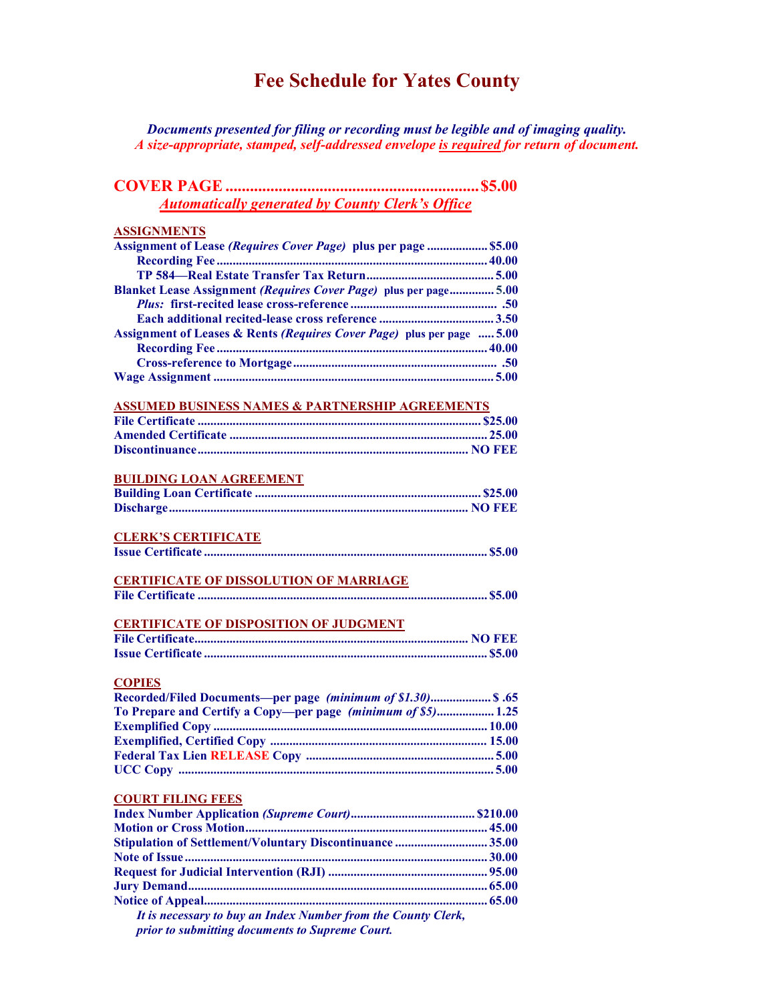# Fee Schedule for Yates County

Documents presented for filing or recording must be legible and of imaging quality. A size-appropriate, stamped, self-addressed envelope is required for return of document.

| <b>Automatically generated by County Clerk's Office</b>                |  |
|------------------------------------------------------------------------|--|
| <b>ASSIGNMENTS</b>                                                     |  |
| Assignment of Lease (Requires Cover Page) plus per page  \$5.00        |  |
|                                                                        |  |
|                                                                        |  |
| Blanket Lease Assignment (Requires Cover Page) plus per page 5.00      |  |
|                                                                        |  |
|                                                                        |  |
| Assignment of Leases & Rents (Requires Cover Page) plus per page  5.00 |  |
|                                                                        |  |
|                                                                        |  |
|                                                                        |  |
| <b>ASSUMED BUSINESS NAMES &amp; PARTNERSHIP AGREEMENTS</b>             |  |
|                                                                        |  |
|                                                                        |  |
|                                                                        |  |
| <b>BUILDING LOAN AGREEMENT</b>                                         |  |
|                                                                        |  |
|                                                                        |  |
| <b>CLERK'S CERTIFICATE</b>                                             |  |
|                                                                        |  |
|                                                                        |  |
| <b>CERTIFICATE OF DISSOLUTION OF MARRIAGE</b>                          |  |
|                                                                        |  |
| <b>CERTIFICATE OF DISPOSITION OF JUDGMENT</b>                          |  |
|                                                                        |  |
|                                                                        |  |
| <b>COPIES</b>                                                          |  |
| Recorded/Filed Documents-per page (minimum of \$1.30) \$.65            |  |
| To Prepare and Certify a Copy-per page (minimum of \$5) 1.25           |  |
|                                                                        |  |
|                                                                        |  |
|                                                                        |  |
|                                                                        |  |
| <b>COURT FILING FEES</b>                                               |  |
|                                                                        |  |
|                                                                        |  |
| Stipulation of Settlement/Voluntary Discontinuance 35.00               |  |
|                                                                        |  |
|                                                                        |  |
|                                                                        |  |
|                                                                        |  |
| It is necessary to buy an Index Number from the County Clerk,          |  |

prior to submitting documents to Supreme Court.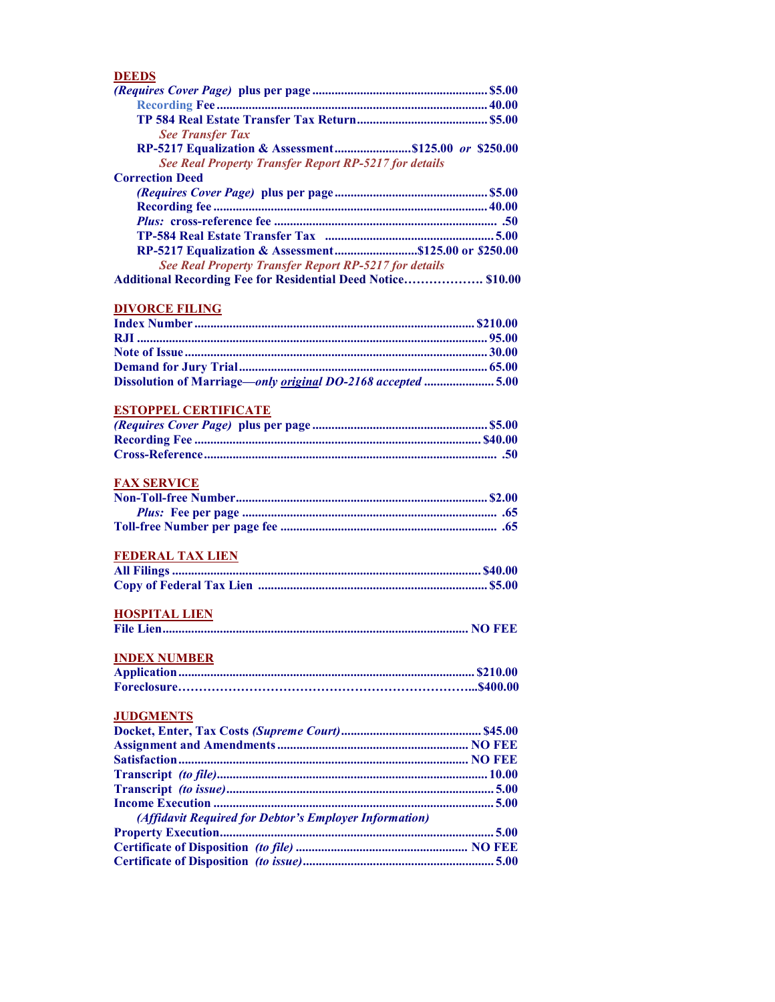#### DEEDS

| <b>See Transfer Tax</b>                                             |
|---------------------------------------------------------------------|
| RP-5217 Equalization & Assessment\$125.00 or \$250.00               |
| See Real Property Transfer Report RP-5217 for details               |
| <b>Correction Deed</b>                                              |
|                                                                     |
|                                                                     |
|                                                                     |
|                                                                     |
| RP-5217 Equalization & Assessment\$125.00 or \$250.00               |
| See Real Property Transfer Report RP-5217 for details               |
| <b>Additional Recording Fee for Residential Deed Notice \$10.00</b> |

### DIVORCE FILING

| Dissolution of Marriage—only original DO-2168 accepted 5.00 |  |
|-------------------------------------------------------------|--|

### ESTOPPEL CERTIFICATE

### FAX SERVICE

#### FEDERAL TAX LIEN

### HOSPITAL LIEN

|--|--|--|--|--|

# INDEX NUMBER

#### **JUDGMENTS**

| (Affidavit Required for Debtor's Employer Information) |  |
|--------------------------------------------------------|--|
|                                                        |  |
|                                                        |  |
|                                                        |  |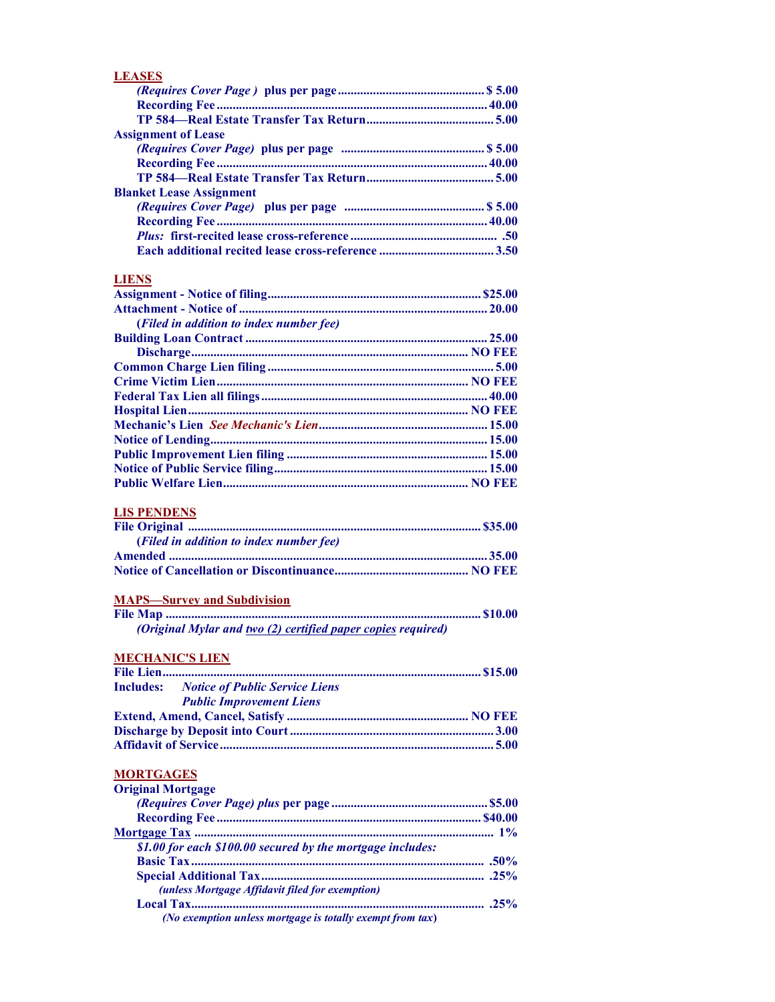| <b>LEASES</b>                   |
|---------------------------------|
|                                 |
|                                 |
|                                 |
| <b>Assignment of Lease</b>      |
|                                 |
|                                 |
|                                 |
| <b>Blanket Lease Assignment</b> |
|                                 |
|                                 |
|                                 |
|                                 |

### **LIENS**

| (Filed in addition to index number fee) |  |
|-----------------------------------------|--|
|                                         |  |
|                                         |  |
|                                         |  |
|                                         |  |
|                                         |  |
|                                         |  |
|                                         |  |
|                                         |  |
|                                         |  |
|                                         |  |
|                                         |  |

# LIS PENDENS

| (Filed in addition to index number fee) |  |
|-----------------------------------------|--|
|                                         |  |
|                                         |  |

# MAPS—Survey and Subdivision

| (Original Mylar and two (2) certified paper copies required) |  |
|--------------------------------------------------------------|--|

# MECHANIC'S LIEN

| <b>Includes:</b> Notice of Public Service Liens |  |
|-------------------------------------------------|--|
| <b>Public Improvement Liens</b>                 |  |
|                                                 |  |
|                                                 |  |
|                                                 |  |

# **MORTGAGES**

| <b>Original Mortgage</b>                                   |  |
|------------------------------------------------------------|--|
|                                                            |  |
|                                                            |  |
|                                                            |  |
| \$1.00 for each \$100.00 secured by the mortgage includes: |  |
|                                                            |  |
|                                                            |  |
| (unless Mortgage Affidavit filed for exemption)            |  |
|                                                            |  |
| (No exemption unless mortgage is totally exempt from tax)  |  |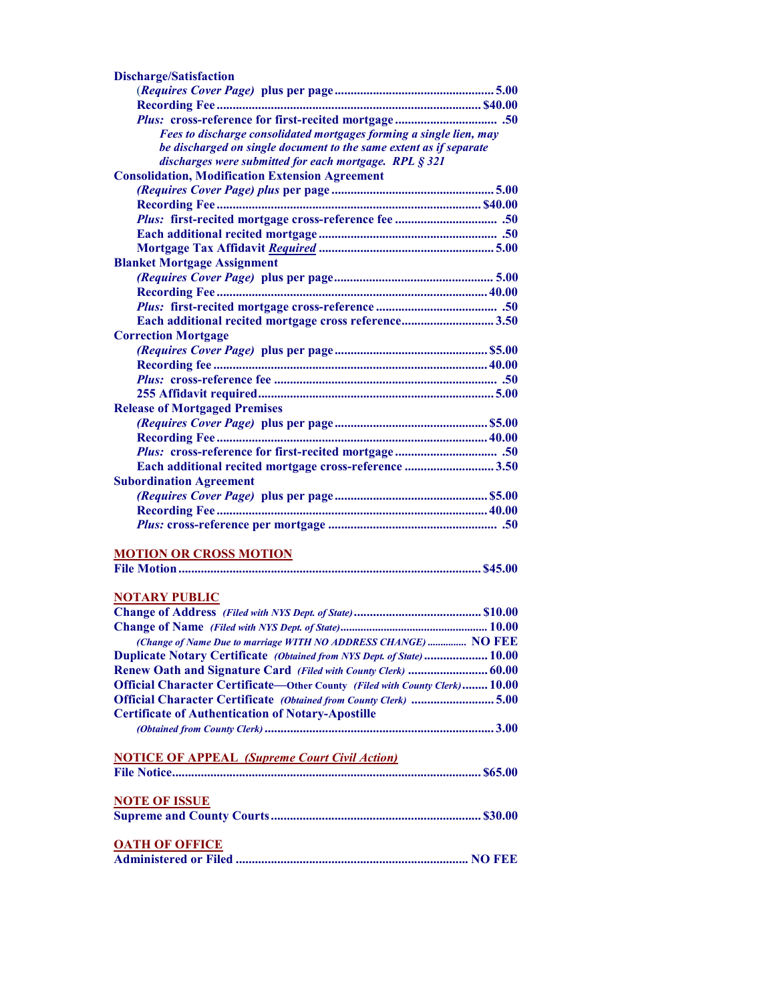| <b>Discharge/Satisfaction</b>                                                      |
|------------------------------------------------------------------------------------|
|                                                                                    |
|                                                                                    |
|                                                                                    |
| Fees to discharge consolidated mortgages forming a single lien, may                |
| be discharged on single document to the same extent as if separate                 |
| discharges were submitted for each mortgage. RPL § 321                             |
| <b>Consolidation, Modification Extension Agreement</b>                             |
|                                                                                    |
|                                                                                    |
|                                                                                    |
|                                                                                    |
|                                                                                    |
| <b>Blanket Mortgage Assignment</b>                                                 |
|                                                                                    |
|                                                                                    |
|                                                                                    |
|                                                                                    |
| Each additional recited mortgage cross reference3.50                               |
| <b>Correction Mortgage</b>                                                         |
|                                                                                    |
|                                                                                    |
|                                                                                    |
|                                                                                    |
| <b>Release of Mortgaged Premises</b>                                               |
|                                                                                    |
|                                                                                    |
|                                                                                    |
| Each additional recited mortgage cross-reference 3.50                              |
| <b>Subordination Agreement</b>                                                     |
|                                                                                    |
|                                                                                    |
|                                                                                    |
|                                                                                    |
| <b>MOTION OR CROSS MOTION</b>                                                      |
|                                                                                    |
|                                                                                    |
| <b>NOTARY PUBLIC</b>                                                               |
|                                                                                    |
|                                                                                    |
| (Change of Name Due to marriage WITH NO ADDRESS CHANGE)  NO FEE                    |
| Duplicate Notary Certificate (Obtained from NYS Dept. of State)  10.00             |
| Renew Oath and Signature Card (Filed with County Clerk)  60.00                     |
| <b>Official Character Certificate—Other County (Filed with County Clerk) 10.00</b> |
| Official Character Certificate (Obtained from County Clerk) 5.00                   |
|                                                                                    |
| <b>Certificate of Authentication of Notary-Apostille</b>                           |
|                                                                                    |
|                                                                                    |
| <b>NOTICE OF APPEAL (Supreme Court Civil Action)</b>                               |
|                                                                                    |
|                                                                                    |
| <b>NOTE OF ISSUE</b>                                                               |
|                                                                                    |
| <b>A LTIL AR ARRIAR</b>                                                            |

| <b>OATH OF OFFICE</b> |  |
|-----------------------|--|
|                       |  |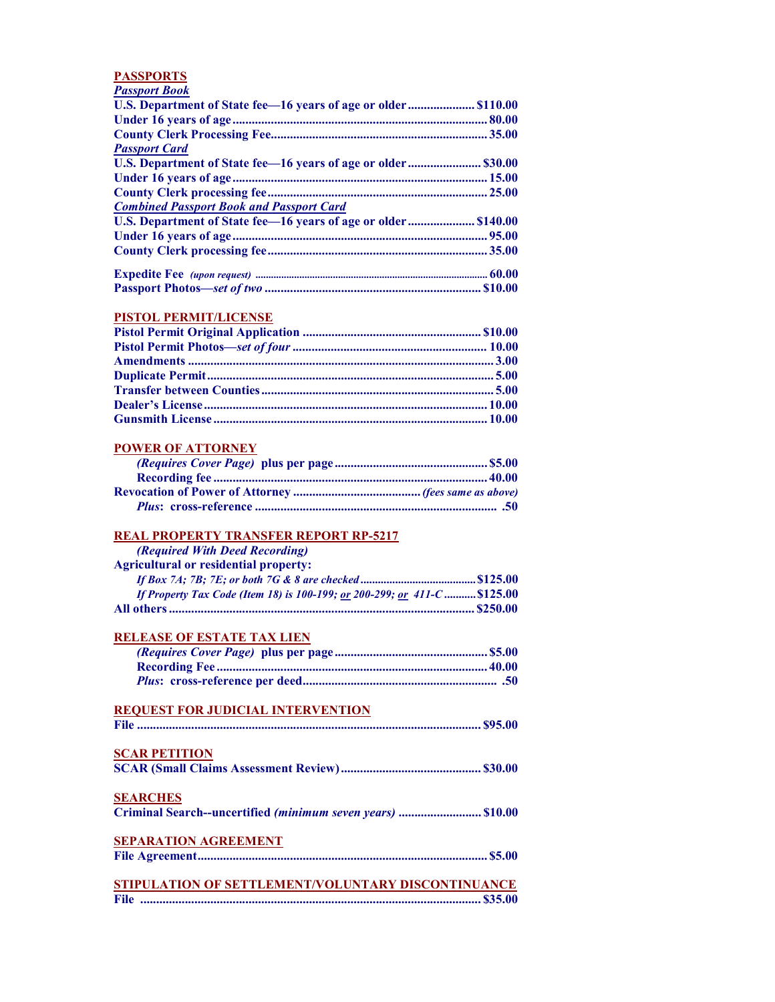#### PASSPORTS

| <b>Passport Book</b>                                           |  |
|----------------------------------------------------------------|--|
| U.S. Department of State fee-16 years of age or older \$110.00 |  |
|                                                                |  |
|                                                                |  |
| <b>Passport Card</b>                                           |  |
|                                                                |  |
|                                                                |  |
|                                                                |  |
| <b>Combined Passport Book and Passport Card</b>                |  |
| U.S. Department of State fee-16 years of age or older \$140.00 |  |
|                                                                |  |
|                                                                |  |
|                                                                |  |
|                                                                |  |

#### PISTOL PERMIT/LICENSE

#### POWER OF ATTORNEY

#### REAL PROPERTY TRANSFER REPORT RP-5217

| (Required With Deed Recording)                                            |  |
|---------------------------------------------------------------------------|--|
| <b>Agricultural or residential property:</b>                              |  |
|                                                                           |  |
| If Property Tax Code (Item 18) is 100-199; or 200-299; or 411-C  \$125.00 |  |

# RELEASE OF ESTATE TAX LIEN

All others ................................................................................................ \$250.00

#### REQUEST FOR JUDICIAL INTERVENTION

| <b>SCAR PETITION</b>                                        |  |
|-------------------------------------------------------------|--|
|                                                             |  |
| <b>SEARCHES</b>                                             |  |
| Criminal Search--uncertified (minimum seven years)  \$10.00 |  |
| <b>SEPARATION AGREEMENT</b>                                 |  |
|                                                             |  |
| STIPULATION OF SETTLEMENT/VOLUNTARY DISCONTINUANCE          |  |
|                                                             |  |